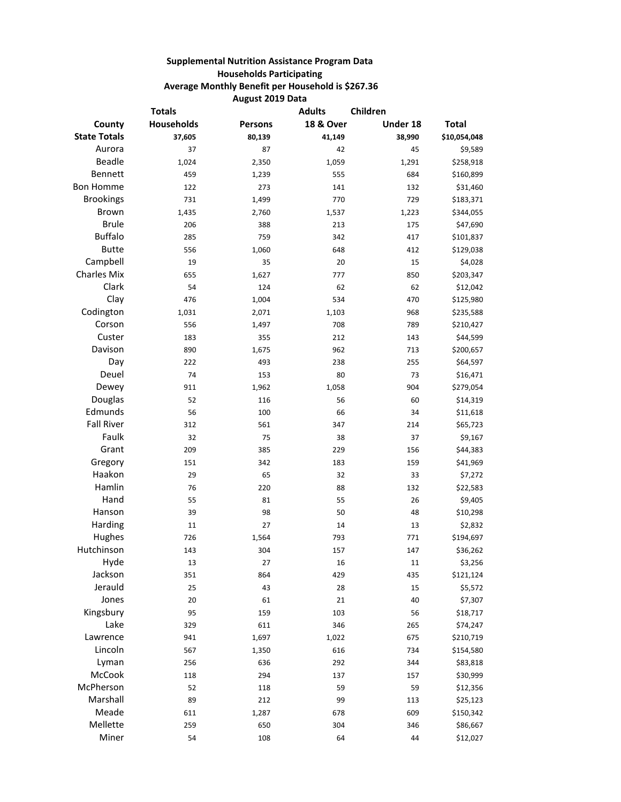## **Supplemental Nutrition Assistance Program Data Households Participating Average Monthly Benefit per Household is \$267.36 August 2019 Data**

| <b>Totals</b>       |                   |                | Children<br><b>Adults</b> |          |              |
|---------------------|-------------------|----------------|---------------------------|----------|--------------|
| County              | <b>Households</b> | <b>Persons</b> | <b>18 &amp; Over</b>      | Under 18 | <b>Total</b> |
| <b>State Totals</b> | 37,605            | 80,139         | 41,149                    | 38,990   | \$10,054,048 |
| Aurora              | 37                | 87             | 42                        | 45       | \$9,589      |
| <b>Beadle</b>       | 1,024             | 2,350          | 1,059                     | 1,291    | \$258,918    |
| Bennett             | 459               | 1,239          | 555                       | 684      | \$160,899    |
| <b>Bon Homme</b>    | 122               | 273            | 141                       | 132      | \$31,460     |
| <b>Brookings</b>    | 731               | 1,499          | 770                       | 729      | \$183,371    |
| <b>Brown</b>        | 1,435             | 2,760          | 1,537                     | 1,223    | \$344,055    |
| <b>Brule</b>        | 206               | 388            | 213                       | 175      | \$47,690     |
| <b>Buffalo</b>      | 285               | 759            | 342                       | 417      | \$101,837    |
| <b>Butte</b>        | 556               | 1,060          | 648                       | 412      | \$129,038    |
| Campbell            | 19                | 35             | 20                        | 15       | \$4,028      |
| <b>Charles Mix</b>  | 655               | 1,627          | 777                       | 850      | \$203,347    |
| Clark               | 54                | 124            | 62                        | 62       | \$12,042     |
| Clay                | 476               | 1,004          | 534                       | 470      | \$125,980    |
| Codington           | 1,031             | 2,071          | 1,103                     | 968      | \$235,588    |
| Corson              | 556               | 1,497          | 708                       | 789      | \$210,427    |
| Custer              | 183               | 355            | 212                       | 143      | \$44,599     |
| Davison             | 890               | 1,675          | 962                       | 713      | \$200,657    |
| Day                 | 222               | 493            | 238                       | 255      | \$64,597     |
| Deuel               | 74                | 153            | 80                        | 73       | \$16,471     |
| Dewey               | 911               | 1,962          | 1,058                     | 904      | \$279,054    |
| Douglas             | 52                | 116            | 56                        | 60       | \$14,319     |
| Edmunds             | 56                | 100            | 66                        | 34       | \$11,618     |
| <b>Fall River</b>   | 312               | 561            | 347                       | 214      | \$65,723     |
| Faulk               | 32                | 75             | 38                        | 37       | \$9,167      |
| Grant               | 209               | 385            | 229                       | 156      | \$44,383     |
| Gregory             | 151               | 342            | 183                       | 159      | \$41,969     |
| Haakon              | 29                | 65             | 32                        | 33       | \$7,272      |
| Hamlin              | 76                | 220            | 88                        | 132      | \$22,583     |
| Hand                | 55                | 81             | 55                        | 26       | \$9,405      |
| Hanson              | 39                | 98             | 50                        | 48       | \$10,298     |
| Harding             | 11                | 27             | 14                        | 13       | \$2,832      |
| Hughes              | 726               | 1,564          | 793                       | 771      | \$194,697    |
| Hutchinson          | 143               | 304            | 157                       | 147      | \$36,262     |
| Hyde                | 13                | 27             | 16                        | 11       | \$3,256      |
| Jackson             | 351               | 864            | 429                       | 435      | \$121,124    |
| Jerauld             | 25                | 43             | 28                        | 15       | \$5,572      |
| Jones               | 20                | 61             | 21                        | 40       | \$7,307      |
| Kingsbury           | 95                | 159            | 103                       | 56       | \$18,717     |
| Lake                | 329               | 611            | 346                       | 265      | \$74,247     |
| Lawrence            | 941               | 1,697          | 1,022                     | 675      | \$210,719    |
| Lincoln             | 567               | 1,350          | 616                       | 734      | \$154,580    |
| Lyman               | 256               | 636            | 292                       | 344      | \$83,818     |
| McCook              | 118               | 294            | 137                       | 157      | \$30,999     |
| McPherson           | 52                | 118            | 59                        | 59       | \$12,356     |
| Marshall            | 89                | 212            | 99                        | 113      | \$25,123     |
| Meade               | 611               | 1,287          | 678                       | 609      | \$150,342    |
| Mellette            | 259               | 650            | 304                       | 346      | \$86,667     |
| Miner               | 54                | 108            | 64                        | 44       | \$12,027     |